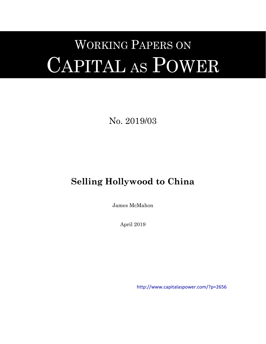# WORKING PAPERS ON CAPITAL AS POWER

No. 2019/03

# **Selling Hollywood to China**

James McMahon

April 2019

[http://www.capitalaspower.com/?p=2656](http://www.capitalaspower.com/?p=2656%20)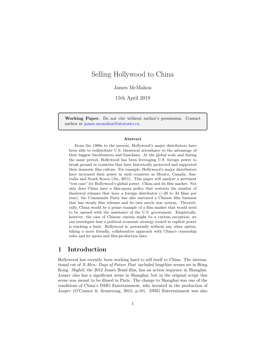# Selling Hollywood to China

#### James McMahon

15th April 2019

**Working Paper.** Do not cite without author's permission. Contact author at [james.mcmahon@utoronto.ca.](mailto:james.mcmahon@utoronto.ca)

#### **Abstract**

From the 1980s to the present, Hollywood's major distributors have been able to redistribute U.S. theatrical attendance to the advantage of their biggest blockbusters and franchises. At the global scale and during the same period, Hollywood has been leveraging U.S. foreign power to break ground in countries that have historically protected and supported their domestic film culture. For example, Hollywood's major distributors have increased their power in such countries as Mexico, Canada, Australia and South Korea [\(Jin](#page-20-0), [2011\)](#page-20-0). This paper will analyze a pertinent "test case" for Hollywood's global power: China and its film market. Not only does China have a film-quota policy that restricts the number of theatrical releases that have a foreign distributor (*∼*20 to 34 films per year), the Communist Party has also nurtured a Chinese film business that has steady film releases and its own movie star system. Theoretically, China would be a prime example of a film market that would need to be opened with the assistance of the U.S. government. Empirically, however, the case of Chinese cinema might be a curious exception; we can investigate how a political economic strategy rooted in explicit power is reaching a limit. Hollywood is, potentially without any other option, taking a more friendly, collaborative approach with China's censorship rules and its quota and film-production laws.

# **1 Introduction**

Hollywood has recently been working hard to sell itself to China. The international cut of *X-Men: Days of Future Past* included lengthier scenes set in Hong Kong. *Skyfall*, the 2012 James Bond film, has an action sequence in Shanghai. *Looper* also has a significant scene in Shanghai, but in the original script this scene was meant to be filmed in Paris. The change to Shanghai was one of the conditions of China's DMG Entertainment, who invested in the production of *Looper* [\(O'Connor & Armstrong](#page-20-1), [2015](#page-20-1), p.10). DMG Entertainment was also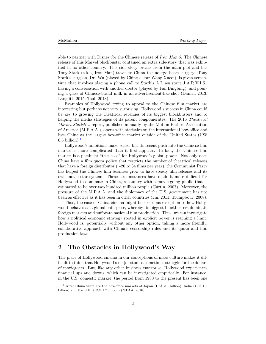able to partner with Disney for the Chinese release of *Iron Man 3*. The Chinese release of this Marvel blockbuster contained an extra side-story that was exhibited in no other country. This side-story breaks from the main plot and has Tony Stark (a.k.a, Iron Man) travel to China to undergo heart surgery. Tony Stark's surgeon, Dr. Wu (played by Chinese star Wang Xueqi), is given screentime that involves placing a phone call to Stark's A.I. assistant J.A.R.V.I.S., having a conversation with another doctor (played by Fan Bingbing), and pouring a glass of Chinese-brand milk in an advertisement-like shot [\(Daniel](#page-19-0), [2013;](#page-19-0) [Langfitt,](#page-20-2) [2015;](#page-20-2) [Tsui](#page-21-0), [2013](#page-21-0)).

Examples of Hollywood trying to appeal to the Chinese film market are interesting but perhaps not very surprising. Hollywood's success in China could be key to growing the theatrical revenues of its biggest blockbusters and to helping the media strategies of its parent conglomerates. The 2016 *Theatrical Market Statistics* report, published annually by the Motion Picture Association of America (M.P.A.A.), opens with statistics on the international box-office and lists China as the largest box-office market outside of the United States (US\$ 6.6 billion). $<sup>1</sup>$  $<sup>1</sup>$  $<sup>1</sup>$ </sup>

Hollywood's ambitions make sense, but its recent push into the Chinese film market is more complicated than it first appears. In fact, the Chinese film market is a pertinent "test case" for Hollywood's global power. Not only does China have a film quota policy that restricts the number of theatrical releases that have a foreign distributor (*∼*20 to 34 films per year), the Communist Party has helped the Chinese film business grow to have steady film releases and its own movie star system. These circumstances have made it more difficult for Hollywood to dominate in China, a country with a movie-going public that is estimated to be over two hundred million people [\(Curtin](#page-19-1), [2007](#page-19-1)). Moreover, the pressure of the M.P.A.A. and the diplomacy of the U.S. government has not been as effective as it has been in other countries ([Jin](#page-20-0), [2011;](#page-20-0) [Trumpbour](#page-21-1), [2008\)](#page-21-1).

Thus, the case of China cinema might be a curious exception to how Hollywood behaves as a global enterprise, whereby its biggest blockbusters dominate foreign markets and suffocate national film production. Thus, we can investigate how a political economic strategy rooted in explicit power is reaching a limit. Hollywood is, potentially without any other option, taking a more friendly, collaborative approach with China's censorship rules and its quota and film production laws.

### **2 The Obstacles in Hollywood's Way**

The place of Hollywood cinema in our conceptions of mass culture makes it difficult to think that Hollywood's major studios sometimes struggle for the dollars of moviegoers. But, like any other business enterprise, Hollywood experiences financial ups and downs, which can be investigated empirically. For instance, in the U.S. domestic market, the period from 1980 to the present has been one

<span id="page-2-0"></span><sup>1</sup> After China there are the box-office markets of Japan (US\$ 2.0 billion), India (US\$ 1.9 billion) and the U.K. (US\$ 1.7 billion) ([MPAA](#page-20-3), [2016](#page-20-3)).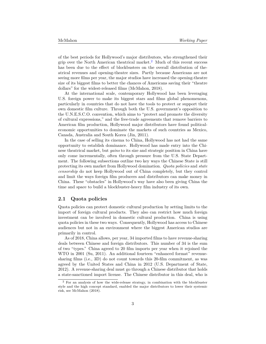of the best periods for Hollywood's major distributors, who strengthened their grip over the North American theatrical market.<sup>[2](#page-3-0)</sup> Much of this recent success has been due to the effect of blockbusters on the overall distribution of theatrical revenues and opening-theatre sizes. Partly because Americans are not seeing more films per year, the major studios have increased the opening-theatre size of its biggest films to better the chances of Americans saving their "theatre dollars" for the widest-released films ([McMahon](#page-20-4), [2018](#page-20-4)).

At the international scale, contemporary Hollywood has been leveraging U.S. foreign power to make its biggest stars and films global phenomenons, particularly in countries that do not have the tools to protect or support their own domestic film culture. Through both the U.S. government's opposition to the U.N.E.S.C.O. convention, which aims to "protect and promote the diversity of cultural expressions," and the free-trade agreements that remove barriers to American film production, Hollywood major distributors have found politicaleconomic opportunities to dominate the markets of such countries as Mexico, Canada, Australia and South Korea [\(Jin,](#page-20-0) [2011\)](#page-20-0).

In the case of selling its cinema to China, Hollywood has not had the same opportunity to establish dominance. Hollywood has made entry into the Chinese theatrical market, but *gains* to its size and strategic position in China have only come incrementally, often through pressure from the U.S. State Department. The following subsections outline two key ways the Chinese State is still protecting its own market from Hollywood domination. *Quota policies* and *state censorship* do not keep Hollywood out of China completely, but they control and limit the ways foreign film producers and distributors can make money in China. These "obstacles" in Hollywood's way have also been giving China the time and space to build a blockbuster-heavy film industry of its own.

#### **2.1 Quota policies**

Quota policies can protect domestic cultural production by setting limits to the import of foreign cultural products. They also can restrict how much foreign investment can be involved in domestic cultural production. China is using quota policies in these two ways. Consequently, Hollywood has access to Chinese audiences but not in an environment where the biggest American studios are primarily in control.

As of 2018, China allows, per year, 34 imported films to have revenue-sharing deals between Chinese and foreign distributors. This number of 34 is the sum of two "types." China agreed to 20 film imports per year when it rejoined the WTO in 2001 [\(Su](#page-20-5), [2011](#page-20-5)). An additional fourteen "enhanced format" revenuesharing films (i.e., 3D) do not count towards this 20-film commitment, as was agreed by the United States and China in 2012 [\(U.S. Department of State,](#page-21-2) [2012\)](#page-21-2). A revenue-sharing deal must go through a Chinese distributor that holds a state-sanctioned import license. The Chinese distributor in this deal, who is

<span id="page-3-0"></span> $^2$  For an analysis of how the wide-release strategy, in combination with the blockbuster style and the high concept standard, enabled the major distributors to lower their systemic risk, see [McMahon](#page-20-4) [\(2018](#page-20-4)).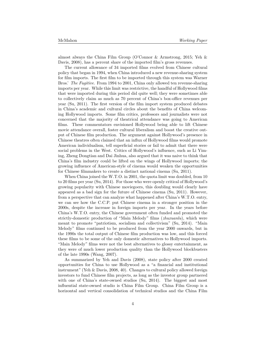almost always the China Film Group ([O'Connor & Armstrong,](#page-20-1) [2015;](#page-20-1) [Yeh &](#page-21-3) [Davis](#page-21-3), [2008](#page-21-3)), has a percent share of the imported film's gross revenues.

The current allowance of 34 imported films evolved from Chinese cultural policy that began in 1994, when China introduced a new revenue-sharing system for film imports. The first film to be imported through this system was Warner Bros.' *The Fugitive*. From 1994 to 2001, China only allowed ten revenue-sharing imports per year. While this limit was restrictive, the handful of Hollywood films that were imported during this period did quite well; they were sometimes able to collectively claim as much as 70 percent of China's box-office revenues per year ([Su,](#page-20-5) [2011\)](#page-20-5). The first version of the film import system produced debates in China's academic and cultural circles about the benefits of China welcoming Hollywood imports. Some film critics, professors and journalists were not concerned that the majority of theatrical attendance was going to American films. These commentators envisioned Hollywood being able to lift Chinese movie attendance overall, foster cultural liberalism and boost the creative output of Chinese film production. The argument against Hollywood's presence in Chinese theatres often claimed that an influx of Hollywood films would promote American individualism, tell superficial stories or fail to admit that there were social problems in the West. Critics of Hollywood's influence, such as Li Yiming, Zheng Dongtian and Dai Jinhua, also argued that it was naive to think that China's film industry could be lifted on the wings of Hollywood imports; the growing influence of American-style of cinema would weaken the opportunities for Chinese filmmakers to create a distinct national cinema ([Su,](#page-20-5) [2011\)](#page-20-5).

When China joined the W.T.O. in 2001, the quota limit was doubled, from 10 to 20 films per year ([Su,](#page-21-4) [2014\)](#page-21-4). For those who were openly critical of Hollywood's growing popularity with Chinese moviegoers, this doubling would clearly have appeared as a bad sign for the future of Chinese cinema ([Su,](#page-20-5) [2011\)](#page-20-5). However, from a perspective that can analyze what happened after China's W.T.O. entry, we can see how the C.C.P. put Chinese cinema in a stronger position in the 2000s, despite the increase in foreign imports per year. In the years before China's W.T.O. entry, the Chinese government often funded and promoted the strictly-domestic production of "Main Melody" films (*zhuxuanlu*), which were meant to promote "patriotism, socialism and collectivism" ([Su,](#page-21-4) [2014\)](#page-21-4). "Main Melody" films continued to be produced from the year 2000 onwards, but in the 1990s the total output of Chinese film production was low, and this forced these films to be some of the only domestic alternatives to Hollywood imports. "Main Melody" films were not the best alternatives to glossy entertainment, as they were of much lower production quality than the Hollywood blockbusters of the late 1990s ([Wang,](#page-21-5) [2007\)](#page-21-5).

As summarized by [Yeh and Davis](#page-21-3) ([2008\)](#page-21-3), state policy after 2000 created opportunities for China to use Hollywood as a "a financial and institutional instrument" [\(Yeh & Davis](#page-21-3), [2008](#page-21-3), 40). Changes to cultural policy allowed foreign investors to fund Chinese film projects, as long as the investor group partnered with one of China's state-owned studios [\(Su](#page-21-4), [2014\)](#page-21-4). The biggest and most influential state-owned studio is China Film Group. China Film Group is a horizontal and vertical consolidation of technical studios and the China Film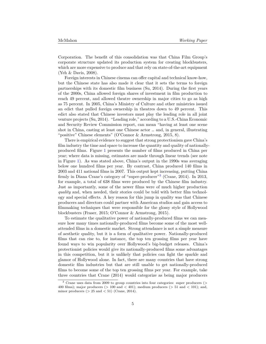Corporation. The benefit of this consolidation was that China Film Group's corporate structure updated its production system for creating blockbusters, which are more expensive to produce and that rely on state-of-the-art equipment ([Yeh & Davis,](#page-21-3) [2008\)](#page-21-3).

Foreign interests in Chinese cinema can offer capital and technical know-how, but the Chinese state has also made it clear that it sets the terms to foreign partnerships with its domestic film business ([Su,](#page-21-4) [2014](#page-21-4)). During the first years of the 2000s, China allowed foreign shares of investment in film production to reach 49 percent, and allowed theatre ownership in major cities to go as high as 75 percent. In 2005, China's Ministry of Culture and other ministries issued an edict that pulled foreign ownership in theatres down to 49 percent. This edict also stated that Chinese investors must play the leading role in all joint venture projects ([Su](#page-21-4), [2014\)](#page-21-4). "Leading role," according to a U.S.-China Economic and Security Review Commission report, can mean "having at least one scene shot in China, casting at least one Chinese actor … and, in general, illustrating "positive" Chinese elements" [\(O'Connor & Armstrong](#page-20-1), [2015](#page-20-1), 8).

There is empirical evidence to suggest that strong protectionism gave China's film industry the time and space to increase the quantity and quality of nationallyproduced films. Figure [1](#page-6-0) presents the number of films produced in China per year; where data is missing, estimates are made through linear trends (see note in Figure [1](#page-6-0)). As was stated above, China's output in the 1990s was averaging below one hundred films per year. By contrast, China produced 140 films in 2003 and 411 national films in 2007. This output kept increasing, putting China firmly in Diana Crane's category of "super-producer"<sup>[3](#page-5-0)</sup> ([Crane,](#page-19-2) [2014\)](#page-19-2). In 2013, for example, a total of 638 films were produced by the Chinese film industry. Just as importantly, some of the newer films were of much higher production *quality* and, when needed, their stories could be told with better film technology and special effects. A key reason for this jump in quality was that Chinese producers and directors could partner with American studios and gain access to filmmaking techniques that were responsible for the glossy style of Hollywood blockbusters [\(Fraser,](#page-19-3) [2015;](#page-19-3) [O'Connor & Armstrong,](#page-20-1) [2015\)](#page-20-1).

To estimate the qualitative power of nationally-produced films we can measure how many times nationally-produced films become some of the most wellattended films in a domestic market. Strong attendance is not a simple measure of aesthetic quality, but it is a form of qualitative power. Nationally-produced films that can rise to, for instance, the top ten grossing films per year have found ways to win popularity over Hollywood's big-budget releases. China's protectionist policies would give its nationally-produced films some advantages in this competition, but it is unlikely that policies can fight the sparkle and glamor of Hollywood alone. In fact, there are many countries that have strong domestic film industries but that are still unable to get nationally-produced films to become some of the top ten grossing films per year. For example, take three countries that [Crane](#page-19-2) ([2014\)](#page-19-2) would categorize as being major producers

<span id="page-5-0"></span><sup>3</sup> Crane uses data from 2009 to group countries into four categories: super producers (> 400 films); major producers ( $> 100$  and  $< 401$ ); medium producers ( $> 51$  and  $< 101$ ); and, minor producers  $(> 25 \text{ and } < 51)$  ([Crane,](#page-19-2) [2014](#page-19-2)).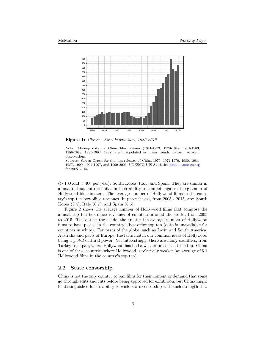<span id="page-6-0"></span>

**Figure 1:** *Chinese Film Production, 1980-2015*

Note: Missing data for China film releases (1971-1973, 1978-1979, 1981-1983, 1988-1989, 1991-1993, 1998) are interpolated as linear trends between adjacent observations.

Sources: Screen Digest for the film releases of China 1970, 1974-1970, 1980, 1984- 1987, 1990, 1994-1997, and 1999-2006; UNESCO UIS Statistics [data.uis.unesco.org](http://data.uis.unesco.org/) for 2007-2015.

 $(> 100 \text{ and } < 400 \text{ per year})$ : South Korea, Italy, and Spain. They are similar in annual output but dissimilar in their ability to compete against the glamour of Hollywood blockbusters. The average number of Hollywood films in the country's top ten box-office revenues (in parenthesis), from 2005 - 2015, are: South Korea (3.4), Italy (6.7), and Spain (8.5).

Figure [2](#page-7-0) shows the average number of Hollywood films that compose the annual top ten box-office revenues of countries around the world, from 2005 to 2015. The darker the shade, the greater the average number of Hollywood films to have placed in the country's box-office top ten (data is unavailable for countries in white). For parts of the globe, such as Latin and South America, Australia and parts of Europe, the facts match our common ideas of Hollywood being a *global* cultural power. Yet interestingly, there are many countries, from Turkey to Japan, where Hollywood has had a weaker presence at the top. China is one of these countries where Hollywood is relatively weaker (an average of 5.1 Hollywood films in the country's top ten).

#### **2.2 State censorship**

China is not the only country to ban films for their content or demand that some go through edits and cuts before being approved for exhibition, but China might be distinguished for its ability to wield state censorship with such strength that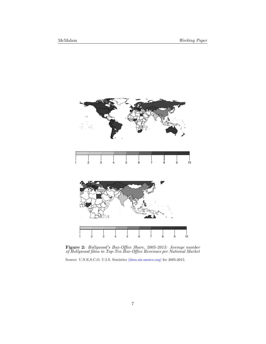<span id="page-7-0"></span>

**Figure 2:** *Hollywood's Box-Office Share, 2005-2015: Average number of Hollywood films in Top-Ten Box-Office Revenues per National Market*

Source: U.N.E.S.C.O. U.I.S. Statistics [\(data.uis.unesco.org\)](http://data.uis.unesco.org/) for 2005-2015.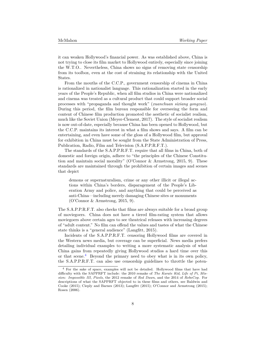it can weaken Hollywood's financial power. As was established above, China is not trying to close its film market to Hollywood entirely, especially since joining the W.T.O.. Nevertheless, China shows no signs of removing state censorship from its toolbox, even at the cost of straining its relationship with the United States.

From the mouths of the C.C.P., government censorship of cinema in China is rationalized in nationalist language. This rationalization started in the early years of the People's Republic, when all film studios in China were nationalized and cinema was treated as a cultural product that could support broader social processes with "propaganda and thought work" (*xuanchuan sixiang gongzuo*). During this period, the film bureau responsible for overseeing the form and content of Chinese film production promoted the aesthetic of socialist realism, much like the Soviet Union ([Meyer-Clement](#page-20-6), [2017](#page-20-6)). The style of socialist realism is now out-of-date, especially because China has been opened to Hollywood, but the C.C.P. maintains its interest in what a film shows and says. A film can be entertaining, and even have some of the gloss of a Hollywood film, but approval for exhibition in China must be sought from the State Administration of Press, Publication, Radio, Film and Television (S.A.P.P.R.F.T.).

The standards of the S.A.P.P.R.F.T. require that all films in China, both of domestic and foreign origin, adhere to "the principles of the Chinese Constitution and maintain social morality" ([O'Connor & Armstrong](#page-20-1), [2015,](#page-20-1) 9). These standards are maintained through the prohibition of certain images and scenes that depict

demons or supernaturalism, crime or any other illicit or illegal actions within China's borders, disparagement of the People's Liberation Army and police, and anything that could be perceived as anti-China—including merely damaging Chinese sites or monuments ([O'Connor & Armstrong](#page-20-1), [2015](#page-20-1), 9).

The S.A.P.P.R.F.T. also checks that films are always suitable for a broad group of moviegoers. China does not have a tiered film-rating system that allows moviegoers above certain ages to see theatrical releases with increasing degrees of "adult content." No film can offend the values and tastes of what the Chinese state thinks is a "general audience" [\(Langfitt](#page-20-2), [2015](#page-20-2)).

Incidents of the S.A.P.P.R.F.T. censoring Hollywood films are covered in the Western news media, but coverage can be superficial. News media prefers detailing individual examples to writing a more systematic analysis of what China gains from repeatedly giving Hollywood studios a hard time over this or that scene.<sup>[4](#page-8-0)</sup> Beyond the primary need to obey what is in its own policy, the S.A.P.P.R.F.T. can also use censorship guidelines to throttle the poten-

<span id="page-8-0"></span><sup>4</sup> For the sake of space, examples will not be detailed. Hollywood films that have had difficulty with the SAPPRFT include: the 2010 remake of *The Karate Kid*, *Life of Pi*, *Mission: Impossible III*, *Pixels*, the 2012 remake of *Red Dawn*, and the 2014 of *RoboCop*. For descriptions of what the SAPPRFT objected to in these films and others, see [Baldwin and](#page-19-4) [Cooke](#page-19-4) [\(2015](#page-19-4)); [Cieply and Barnes](#page-19-5) ([2013](#page-19-5)); [Langfitt](#page-20-2) ([2015](#page-20-2)); [O'Connor and Armstrong](#page-20-1) ([2015\)](#page-20-1); [Rosen](#page-20-7) [\(2006](#page-20-7)).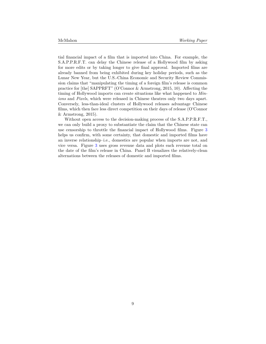tial financial impact of a film that is imported into China. For example, the S.A.P.P.R.F.T. can delay the Chinese release of a Hollywood film by asking for more edits or by taking longer to give final approval. Imported films are already banned from being exhibited during key holiday periods, such as the Lunar New Year, but the U.S.-China Economic and Security Review Commission claims that "manipulating the timing of a foreign film's release is common practice for [the] SAPPRFT" ([O'Connor & Armstrong,](#page-20-1) [2015](#page-20-1), 10). Affecting the timing of Hollywood imports can create situations like what happened to *Minions* and *Pixels*, which were released in Chinese theatres only two days apart. Conversely, less-than-ideal clusters of Hollywood releases advantage Chinese films, which then face less direct competition on their days of release ([O'Connor](#page-20-1) [& Armstrong,](#page-20-1) [2015\)](#page-20-1).

Without open access to the decision-making process of the S.A.P.P.R.F.T., we can only build a proxy to substantiate the claim that the Chinese state can use censorship to throttle the financial impact of Hollywood films. Figure [3](#page-10-0) helps us confirm, with some certainty, that domestic and imported films have an inverse relationship–i.e., domestics are popular when imports are not, and vice versa. Figure [3](#page-10-0) uses gross revenue data and plots each revenue total on the date of the film's release in China. Panel B visualizes the relatively-clean alternations between the releases of domestic and imported films.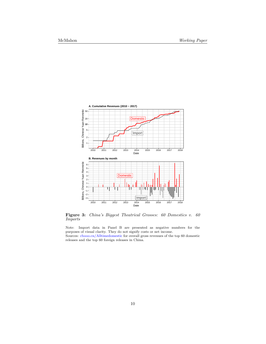<span id="page-10-0"></span>

**Figure 3:** *China's Biggest Theatrical Grosses: 60 Domestics v. 60 Imports*

Note: Import data in Panel B are presented as negative numbers for the purposes of visual clarity. They do not signify costs or net income.

Sources: [cbooo.cn/Alltimedomestic](http://www.cbooo.cn/Alltimedomestic) for overall gross revenues of the top 60 domestic releases and the top 60 foreign releases in China.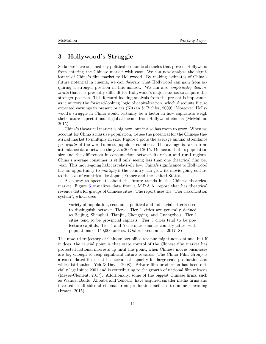### **3 Hollywood's Struggle**

So far we have outlined key political economic obstacles that prevent Hollywood from entering the Chinese market with ease. We can now analyze the significance of China's film market to Hollywood. By making estimates of China's future potential in cinema, we can *theorize* what Hollywood can gain from acquiring a stronger position in this market. We can also *empirically demonstrate* that it is presently difficult for Hollywood's major studios to acquire this stronger position. This forward-looking analysis from the present is important, as it mirrors the forward-looking logic of capitalization, which discounts future expected earnings to present prices [\(Nitzan & Bichler](#page-20-8), [2009](#page-20-8)). Moreover, Hollywood's struggle in China would certainly be a factor in how capitalists weigh their future expectations of global income from Hollywood cinema ([McMahon,](#page-20-9) [2015\)](#page-20-9).

China's theatrical market is big now, but it also has room to grow. When we account for China's massive population, we see the potential for the Chinese theatrical market to multiply in size. Figure [4](#page-12-0) plots the average annual attendance *per capita* of the world's most populous countries. The average is taken from attendance data between the years 2005 and 2015. On account of its population size and the differences in consumerism between its urban and rural regions, China's average consumer is still only seeing less than one theatrical film per year. This movie-going habit is relatively low; China's significance to Hollywood has an opportunity to *multiply* if the country can grow its movie-going culture to the size of countries like Japan, France and the United States.

As a way to speculate about the future trends in the Chinese theatrical market, Figure [5](#page-12-1) visualizes data from a M.P.A.A. report that has theatrical revenue data for groups of Chinese cities. The report uses the "Tier classification system", which uses

variety of population, economic, political and industrial criteria used to distinguish between Tiers. Tier 1 cities are generally defined as Beijing, Shanghai, Tianjin, Chongqing, and Guangzhou. Tier 2 cities tend to be provincial capitals. Tier 3 cities tend to be prefecture capitals. Tier 4 and 5 cities are smaller country cities, with populations of 150,000 or less. [\(Oxford Economics](#page-20-10), [2017](#page-20-10), 8)

The upward trajectory of Chinese box-office revenue might not continue, but if it does, the crucial point is that state control of the Chinese film market has protected national interests up until this point, when Chinese movie businesses are big enough to reap significant future rewards. The China Film Group is a consolidated firm that has technical capacity for large-scale production and wide distribution [\(Yeh & Davis,](#page-21-3) [2008](#page-21-3)). Private film production has been officially legal since 2001 and is contributing to the growth of national film releases ([Meyer-Clement](#page-20-6), [2017\)](#page-20-6). Additionally, some of the biggest Chinese firms, such as Wanda, Baidu, Alibaba and Tencent, have acquired smaller media firms and invested in all sides of cinema, from production facilities to online streaming ([Frater](#page-19-6), [2015](#page-19-6)).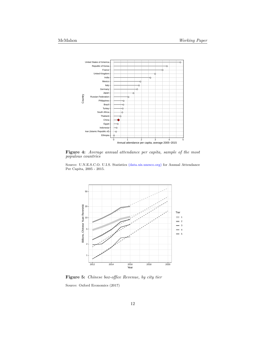<span id="page-12-0"></span>

**Figure 4:** *Average annual attendance per capita, sample of the most populous countries*

Source: U.N.E.S.C.O. U.I.S. Statistics [\(data.uis.unesco.org\)](http://data.uis.unesco.org/) for Annual Attendance Per Capita, 2005 - 2015.

<span id="page-12-1"></span>

**Figure 5:** *Chinese box-office Revenue, by city tier*

Source: [Oxford Economics](#page-20-10) ([2017](#page-20-10))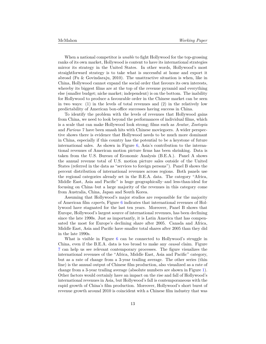When a national competitor is *unable* to fight Hollywood for the top-grossing ranks of its own market, Hollywood is content to have its international strategies mirror its strategy in the United States. In other words, Hollywood's most straightforward strategy is to take what is successful at home and export it abroad [\(Fu & Govindaraju](#page-20-11), [2010\)](#page-20-11). The unattractive situation is when, like in China, Hollywood cannot expand the social order that favours its own interests, whereby its biggest films are at the top of the revenue pyramid and everything else (smaller budget; niche market; independent) is on the bottom. The inability for Hollywood to produce a favourable order in the Chinese market can be seen in two ways: (1) in the levels of total revenues and (2) in the relatively low predictability of American box-office successes having success in China.

To identify the problem with the levels of revenues that Hollywood gains from China, we need to look beyond the performances of individual films, which is a scale that can make Hollywood look strong; films such as *Avatar*, *Zootopia* and *Furious 7* have been smash hits with Chinese moviegoers. A wider perspective shows there is evidence that Hollywood needs to be much more dominant in China, especially if this country has the potential to be a keystone of future international sales. As shown in Figure [6](#page-14-0), Asia's contribution to the international revenues of American motion picture firms has been shrinking. Data is taken from the U.S. Bureau of Economic Analysis (B.E.A.). Panel A shows the annual revenue total of U.S. motion picture sales outside of the United States (referred in the data as "services to foreign persons"). Panel B shows the percent distribution of international revenues across regions. Both panels use the regional categories already set in the B.E.A. data. The category "Africa, Middle East, Asia and Pacific" is huge geographically–and less-than-ideal for focusing on China–but a large majority of the revenues in this category come from Australia, China, Japan and South Korea.

Assuming that Hollywood's major studios are responsible for the majority of American film *exports*, Figure [6](#page-14-0) indicates that international revenues of Hollywood have stagnated for the last ten years. Moreover, Panel B shows that Europe, Hollywood's largest source of international revenues, has been declining since the late 1990s. Just as importantly, it is Latin America that has compensated the most for Europe's declining share after 2005. Canada and Africa, Middle East, Asia and Pacific have smaller total shares after 2005 than they did in the late 1990s.

What is visible in Figure [6](#page-14-0) can be connected to Hollywood's struggle in China, even if the B.E.A. data is too broad to make any *causal* claim. Figure [7](#page-15-0) can help us see relevant contemporary processes. The figure visualizes the international revenues of the "Africa, Middle East, Asia and Pacific" category, but as a rate of change from a 3-year trailing average. The other series (thin line) is the annual output of Chinese film production, also visualized as a rate of change from a 3-year trailing average (absolute numbers are shown in Figure [1\)](#page-6-0). Other factors would certainly have an impact on the rise and fall of Hollywood's international revenues in Asia, but Hollywood's fall is contemporaneous with the rapid growth of China's film production. Moreover, Hollywood's short burst of revenue growth around 2010 is coincident with a Chinese film industry that was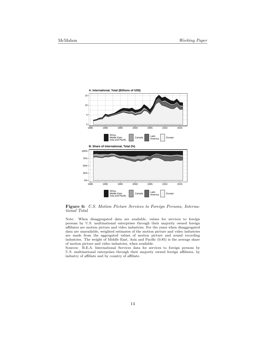<span id="page-14-0"></span>

**Figure 6:** *U.S. Motion Picture Services to Foreign Persons, International Total*

Note: When disaggregated data are available, values for services to foreign persons by U.S. multinational enterprises through their majority owned foreign affiliates are motion picture and video industries. For the years when disaggregated data are unavailable, weighted estimates of the motion picture and video industries are made from the aggregated values of motion picture and sound recording industries. The weight of Middle East, Asia and Pacific (0.85) is the average share of motion picture and video industries, when available.

Sources: B.E.A. International Services data for services to foreign persons by U.S. multinational enterprises through their majority owned foreign affiliates, by industry of affiliate and by country of affiliate.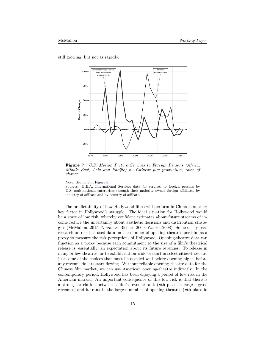<span id="page-15-0"></span>still growing, but not as rapidly.



**Figure 7:** *U.S. Motion Picture Services to Foreign Persons (Africa, Middle East, Asia and Pacific) v. Chinese film production, rates of change*

Note: See note in Figure [6](#page-14-0).

Sources: B.E.A. International Services data for services to foreign persons by U.S. multinational enterprises through their majority owned foreign affiliates, by industry of affiliate and by country of affiliate.

The predictability of how Hollywood films will perform in China is another key factor in Hollywood's struggle. The ideal situation for Hollywood would be a state of low risk, whereby confident estimates about future streams of income reduce the uncertainty about aesthetic decisions and distribution strategies [\(McMahon,](#page-20-9) [2015;](#page-20-9) [Nitzan & Bichler](#page-20-8), [2009](#page-20-8); [Wasko](#page-21-6), [2008](#page-21-6)). Some of my past research on risk has used data on the number of opening theatres per film as a proxy to measure the risk perceptions of Hollywood. Opening-theatre data can function as a proxy because each commitment to the size of a film's theatrical release is, essentially, an expectation about its future revenues. To release in many or few theatres, or to exhibit nation-wide or start in select cities–these are just some of the choices that must be decided well before opening night, before any revenue dollars start flowing. Without reliable opening-theatre data for the Chinese film market, we can use American opening-theatre indirectly. In the contemporary period, Hollywood has been enjoying a period of low risk in the American market. An important consequence of this low risk is that there is a strong correlation between a film's revenue rank (*n*th place in largest gross revenues) and its rank in the largest number of opening theatres (*n*th place in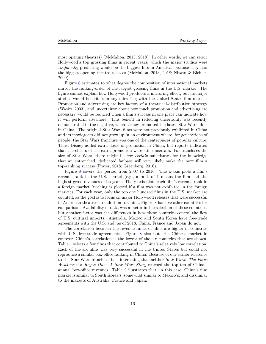most opening theatres) [\(McMahon,](#page-20-12) [2013](#page-20-12), [2018](#page-20-4)). In other words, we can select Hollywood's top grossing films in recent years, which the major studios were *confidently* predicting would be the biggest hits in America, because they had the biggest opening-theatre releases [\(McMahon](#page-20-12), [2013](#page-20-12), [2018;](#page-20-4) [Nitzan & Bichler,](#page-20-8) [2009\)](#page-20-8).

Figure [8](#page-17-0) estimates to what degree the composition of international markets mirror the ranking-order of the largest grossing films in the U.S. market. The figure cannot explain how Hollywood produces a mirroring effect, but its major studios would benefit from any mirroring with the United States film market. Promotion and advertising are key factors of a theatrical-distribution strategy ([Wasko,](#page-21-7) [2003](#page-21-7)), and uncertainty about how much promotion and advertising are necessary would be reduced when a film's success in one place can indicate how it will perform elsewhere. This benefit in reducing uncertainty was recently demonstrated in the negative, when Disney promoted the latest Star Wars films in China. The original Star Wars films were not previously exhibited in China and its moviegoers did not grow up in an environment where, for generations of people, the Star Wars franchise was one of the centerpieces of popular culture. Thus, Disney added extra doses of promotion in China, but reports indicated that the effects of the extra promotion were still uncertain. For franchises the size of Star Wars, there might be few *certain* substitutes for the knowledge that an entrenched, dedicated fanbase will very likely make the next film a top-ranking success ([Frater](#page-20-13), [2018](#page-20-13); [Greenberg](#page-20-14), [2016](#page-20-14)).

Figure [8](#page-17-0) covers the period from 2007 to 2016. The x-axis plots a film's revenue rank in the U.S. market (e.g., a rank of 1 means the film had the highest gross revenues of its year). The y-axis plots each film's revenue rank in a foreign market (nothing is plotted if a film was not exhibited in the foreign market). For each year, only the top one hundred films in the U.S. market are counted, as the goal is to focus on major Hollywood releases that were successful in American theatres. In addition to China, Figure [8](#page-17-0) has five other countries for comparison. Availability of data was a factor in the selection of these countries, but another factor was the differences in how these countries control the flow of U.S. cultural imports. Australia, Mexico and South Korea have free-trade agreements with the U.S. and, as of 2018, China, France and Japan do not.

The correlation between the revenue ranks of films are higher in countries with U.S. free-trade agreements. Figure [8](#page-17-0) also puts the Chinese market in context: China's correlation is the lowest of the six countries that are shown. Table [1](#page-17-1) selects a few films that contributed to China's relatively low correlation. Each of the six films was very successful in the United States but could not reproduce a similar box-office ranking in China. Because of our earlier reference to the Star Wars franchise, it is interesting that neither *Star Wars: The Force Awakens* nor *Rogue One: A Star Wars Story* reached the top ten of China's annual box-office revenues. Table [2](#page-18-0) illustrates that, in this case, China's film market is similar to South Korea's, somewhat similar to Mexico's, and dissimilar to the markets of Australia, France and Japan.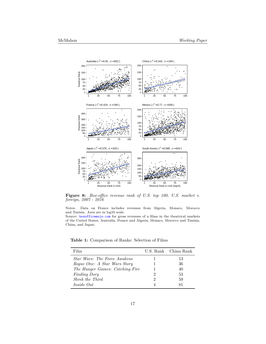<span id="page-17-0"></span>

**Figure 8:** Box-office revenue rank of U.S. top 100, U.S. market v. foreign,  $2007$  -  $2016$ 

Notes: Data on France includes revenues from Algeria, Monaco, Morocco and Tunisia. Axes are in log10 scale.

Source: boxofficemojo.com for gross revenues of a films in the theatrical markets of the United States, Australia, France and Algeria, Monaco, Morocco and Tunisia, China, and Japan.

<span id="page-17-1"></span>Table 1: Comparison of Ranks: Selection of Films

| Film                                |   | U.S. Rank China Rank |
|-------------------------------------|---|----------------------|
| <i>Star Wars: The Force Awakens</i> |   | 13                   |
| Roque One: A Star Wars Story        |   | 36                   |
| The Hunger Games: Catching Fire     |   | 40                   |
| <i>Finding Dory</i>                 | 2 | 53                   |
| Shrek the Third                     | 2 | 59                   |
| Inside Out                          |   | 81                   |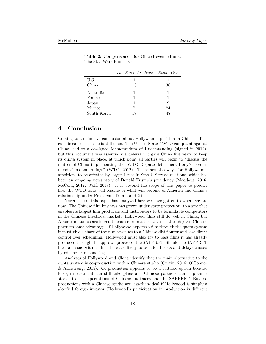|             | The Force Awakens Rogue One |    |
|-------------|-----------------------------|----|
| U.S.        |                             |    |
| China       | 13                          | 36 |
| Australia   |                             |    |
| France      |                             |    |
| Japan       |                             | 9  |
| Mexico      |                             | 24 |
| South Korea | 18                          | 48 |

<span id="page-18-0"></span>**Table 2:** Comparison of Box-Office Revenue Rank: The Star Wars Franchise

# **4 Conclusion**

Coming to a definitive conclusion about Hollywood's position in China is difficult, because the issue is still open. The United States' WTO complaint against China lead to a co-signed Memorandum of Understanding (signed in 2012), but this document was essentially a deferral: it gave China five years to keep its quota system in place, at which point all parties will begin to "discuss the matter of China implementing the [WTO Dispute Settlement Body's] recommendations and rulings" [\(WTO](#page-21-8), [2012](#page-21-8)). There are also ways for Hollywood's ambitions to be affected by larger issues in Sino-U.S.trade relations, which has been an on-going news story of Donald Trump's presidency [\(Maddaus,](#page-20-15) [2016;](#page-20-15) [McCoid,](#page-20-16) [2017](#page-20-16); [Wolf,](#page-21-9) [2018](#page-21-9)). It is beyond the scope of this paper to predict how the WTO talks will resume or what will become of America and China's relationship under Presidents Trump and Xi.

Nevertheless, this paper has analyzed how we have gotten to where we are now. The Chinese film business has grown under state protection, to a size that enables its largest film producers and distributors to be formidable competitors in the Chinese theatrical market. Hollywood films still do well in China, but American studios are forced to choose from alternatives that each gives Chinese partners some advantage. If Hollywood exports a film through the quota system it must give a share of the film revenues to a Chinese distributor and lose direct control over scheduling. Hollywood must also try to pass films it has already produced through the approval process of the SAPPRFT. Should the SAPPRFT have an issue with a film, there are likely to be added costs and delays caused by editing or re-shooting.

Analysts of Hollywood and China identify that the main alternative to the quota system is co-production with a Chinese studio [\(Curtin,](#page-19-7) [2016](#page-19-7); [O'Connor](#page-20-1) [& Armstrong,](#page-20-1) [2015](#page-20-1)). Co-production appears to be a suitable option because foreign investment can still take place and Chinese partners can help tailor stories to the expectations of Chinese audiences and the SAPPRFT. But coproductions with a Chinese studio are less-than-ideal if Hollywood is simply a glorified foreign investor (Hollywood's participation in production is different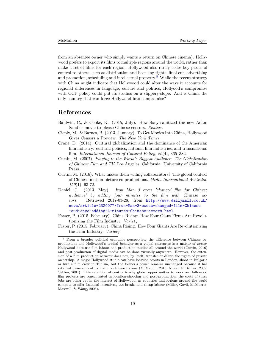from an absentee owner who simply wants a return on Chinese cinema). Hollywood prefers to export its films to multiple regions around the world, rather than make a set of films for each region. Hollywood also rarely cedes key pieces of control to others, such as distribution and licensing rights, final cut, advertising and promotion, scheduling and intellectual property.<sup>[5](#page-19-8)</sup> While the recent strategy with China might indicate that Hollywood could alter the ways it accounts for regional differences in language, culture and politics, Hollyood's compromise with CCP policy could put its studios on a slippery-slope. And is China the only country that can force Hollywood into compromise?

### **References**

- <span id="page-19-4"></span>Baldwin, C., & Cooke, K. (2015, July). How Sony sanitized the new Adam Sandler movie to please Chinese censors. *Reuters*.
- <span id="page-19-5"></span>Cieply, M., & Barnes, B. (2013, January). To Get Movies Into China, Hollywood Gives Censors a Preview. *The New York Times*.
- <span id="page-19-2"></span>Crane, D. (2014). Cultural globalization and the dominance of the American film industry: cultural policies, national film industries, and transnational film. *International Journal of Cultural Policy*, *20*(4), 365–382.
- <span id="page-19-1"></span>Curtin, M. (2007). *Playing to the World's Biggest Audience: The Globalization of Chinese Film and TV*. Los Angeles, California: University of California Press.
- <span id="page-19-7"></span>Curtin, M. (2016). What makes them willing collaborators? The global context of Chinese motion picture co-productions. *Media International Australia*, *159*(1), 63-72.
- <span id="page-19-0"></span>Daniel, J. (2013, May). *Iron Man 3 execs 'changed film for Chinese audience' by adding four minutes to the film with Chinese actors.* Retrieved 2017-03-28, from [http://www.dailymail.co.uk/](http://www.dailymail.co.uk/news/article-2324077/Iron-Man-3-execs-changed-film-Chinese-audience-adding-4-minutes-Chinese-actors.html) [news/article-2324077/Iron-Man-3-execs-changed-film-Chinese](http://www.dailymail.co.uk/news/article-2324077/Iron-Man-3-execs-changed-film-Chinese-audience-adding-4-minutes-Chinese-actors.html) [-audience-adding-4-minutes-Chinese-actors.html](http://www.dailymail.co.uk/news/article-2324077/Iron-Man-3-execs-changed-film-Chinese-audience-adding-4-minutes-Chinese-actors.html)
- <span id="page-19-3"></span>Fraser, P. (2015, February). China Rising: How Four Giant Firms Are Revolutionizing the Film Industry. *Variety*.
- <span id="page-19-6"></span>Frater, P. (2015, February). China Rising: How Four Giants Are Revolutionizing the Film Industry. *Variety*.

<span id="page-19-8"></span><sup>5</sup> From a broader political economic perspective, the difference between Chinese coproductions and Hollywood's typical behavior as a global enterprise is a matter of *power*. Hollywood does use film labour and production studios all around the world [\(Curtin,](#page-19-7) [2016](#page-19-7)) and post-production of digital media can be done virtually anywhere. However, the extension of a film production network does not, by itself, transfer or dilute the rights of private ownership. A major Hollywood studio can have location scouts in London, shoot in Bulgaria or hire a film crew in Tunisia, but the former's power remains unchanged because it has retained ownership of its claim on future income [\(McMahon](#page-20-9), [2015](#page-20-9); [Nitzan & Bichler,](#page-20-8) [2009](#page-20-8); [Veblen,](#page-21-10) [2004](#page-21-10)). This retention of control is why global opportunities to work on Hollywood film projects are concentrated in location-shooting and post-production; the costs of these jobs are being cut in the interest of Hollywood, as countries and regions around the world compete to offer financial incentives, tax breaks and cheap labour [\(Miller, Govil, McMurria,](#page-20-17) [Maxwell, & Wang](#page-20-17), [2005](#page-20-17)).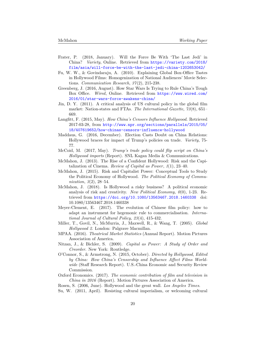- <span id="page-20-13"></span>Frater, P. (2018, January). Will the Force Be With 'The Last Jedi' in China? *Variety*, Online. Retrieved from [https://variety.com/2018/](https://variety.com/2018/film/asia/will-force-be-with-the-last-jedi-china-1202653042/) [film/asia/will-force-be-with-the-last-jedi-china-1202653042/](https://variety.com/2018/film/asia/will-force-be-with-the-last-jedi-china-1202653042/)
- <span id="page-20-11"></span>Fu, W. W., & Govindaraju, A. (2010). Explaining Global Box-Office Tastes in Hollywood Films: Homogenization of National Audiences' Movie Selections. *Communication Research*, *37*(2), 215-238.
- <span id="page-20-14"></span>Greenberg, J. (2016, August). How Star Wars Is Trying to Rule China's Tough Box Office. *Wired*, Online. Retrieved from [https://www.wired.com/](https://www.wired.com/2016/01/star-wars-force-awakens-china/) [2016/01/star-wars-force-awakens-china/](https://www.wired.com/2016/01/star-wars-force-awakens-china/)
- <span id="page-20-0"></span>Jin, D. Y. (2011). A critical analysis of US cultural policy in the global film market: Nation-states and FTAs. *The International Gazette*, *73*(8), 651– 669.
- <span id="page-20-2"></span>Langfitt, F. (2015, May). *How China's Censors Influence Hollywood.* Retrieved 2017-03-28, from [http://www.npr.org/sections/parallels/2015/05/](http://www.npr.org/sections/parallels/2015/05/18/407619652/how-chinas-censors-influence-hollywood) [18/407619652/how-chinas-censors-influence-hollywood](http://www.npr.org/sections/parallels/2015/05/18/407619652/how-chinas-censors-influence-hollywood)
- <span id="page-20-15"></span>Maddaus, G. (2016, December). Election Casts Doubt on China Relations: Hollywood braces for impact of Trump's policies on trade. *Variety*, 75- 77.
- <span id="page-20-16"></span>McCoid, M. (2017, May). *Trump's trade policy could flip script on China's Hollywood imports* (Report). SNL Kagan Media & Communications.
- <span id="page-20-12"></span>McMahon, J. (2013). The Rise of a Confident Hollywood: Risk and the Capitalization of Cinema. *Review of Capital as Power*, *1*(1), 23–40.
- <span id="page-20-9"></span>McMahon, J. (2015). Risk and Capitalist Power: Conceptual Tools to Study the Political Economy of Hollywood. *The Political Economy of Communication*, *3*(2), 28–54.
- <span id="page-20-4"></span>McMahon, J. (2018). Is Hollywood a risky business? A political economic analysis of risk and creativity. *New Political Economy*, *0*(0), 1-23. Retrieved from <https://doi.org/10.1080/13563467.2018.1460338> doi: 10.1080/13563467.2018.1460338
- <span id="page-20-6"></span>Meyer-Clement, E. (2017). The evolution of Chinese film policy: how to adapt an instrument for hegemonic rule to commercialisation. *International Journal of Cultural Policy*, *23*(4), 415-432.
- <span id="page-20-17"></span>Miller, T., Govil, N., McMurria, J., Maxwell, R., & Wang, T. (2005). *Global Hollywood 2*. London: Palgrave Macmillan.
- <span id="page-20-3"></span>MPAA. (2016). *Theatrical Market Statistics* (Annual Report). Motion Pictures Association of America.
- <span id="page-20-8"></span>Nitzan, J., & Bichler, S. (2009). *Capital as Power: A Study of Order and Creorder*. New York: Routledge.
- <span id="page-20-1"></span>O'Connor, S., & Armstrong, N. (2015, October). *Directed by Hollywood, Edited by China: How China's Censorship and Influence Affect Films Worldwide* (Staff Research Report). U.S.-China Economic and Security Review Commission.
- <span id="page-20-10"></span>Oxford Economics. (2017). *The economic contribution of film and television in China in 2016* (Report). Motion Pictures Association of America.
- <span id="page-20-7"></span>Rosen, S. (2006, June). Hollywood and the great wall. *Los Angeles Times*.
- <span id="page-20-5"></span>Su, W. (2011, April). Resisting cultural imperialism, or welcoming cultural